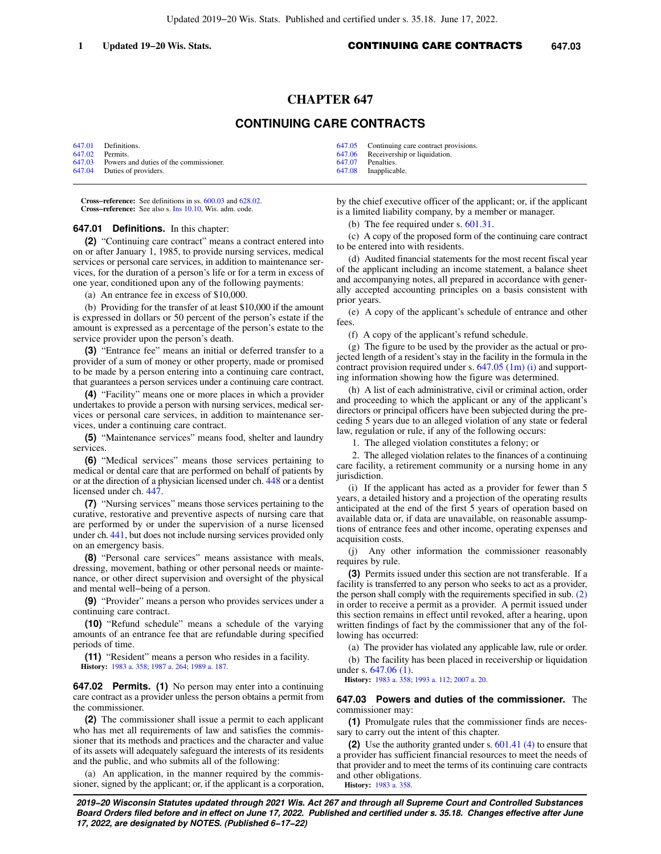## **CHAPTER 647**

## **CONTINUING CARE CONTRACTS**

|                 | 647.01 Definitions.                           | 647.05 Continuing care contract provisions. |
|-----------------|-----------------------------------------------|---------------------------------------------|
| 647.02 Permits. |                                               | 647.06 Receivership or liquidation.         |
|                 | 647.03 Powers and duties of the commissioner. | 647.07 Penalties.                           |
|                 | 647.04 Duties of providers.                   | 647.08 Inapplicable.                        |

**Cross−reference:** See definitions in ss. [600.03](https://docs.legis.wisconsin.gov/document/statutes/600.03) and [628.02](https://docs.legis.wisconsin.gov/document/statutes/628.02). **Cross−reference:** See also s. [Ins 10.10](https://docs.legis.wisconsin.gov/document/administrativecode/Ins%2010.10), Wis. adm. code.

## **647.01 Definitions.** In this chapter:

**(2)** "Continuing care contract" means a contract entered into on or after January 1, 1985, to provide nursing services, medical services or personal care services, in addition to maintenance services, for the duration of a person's life or for a term in excess of one year, conditioned upon any of the following payments:

(a) An entrance fee in excess of \$10,000.

(b) Providing for the transfer of at least \$10,000 if the amount is expressed in dollars or 50 percent of the person's estate if the amount is expressed as a percentage of the person's estate to the service provider upon the person's death.

**(3)** "Entrance fee" means an initial or deferred transfer to a provider of a sum of money or other property, made or promised to be made by a person entering into a continuing care contract, that guarantees a person services under a continuing care contract.

**(4)** "Facility" means one or more places in which a provider undertakes to provide a person with nursing services, medical services or personal care services, in addition to maintenance services, under a continuing care contract.

**(5)** "Maintenance services" means food, shelter and laundry services.

**(6)** "Medical services" means those services pertaining to medical or dental care that are performed on behalf of patients by or at the direction of a physician licensed under ch. [448](https://docs.legis.wisconsin.gov/document/statutes/ch.%20448) or a dentist licensed under ch. [447](https://docs.legis.wisconsin.gov/document/statutes/ch.%20447).

**(7)** "Nursing services" means those services pertaining to the curative, restorative and preventive aspects of nursing care that are performed by or under the supervision of a nurse licensed under ch. [441,](https://docs.legis.wisconsin.gov/document/statutes/ch.%20441) but does not include nursing services provided only on an emergency basis.

**(8)** "Personal care services" means assistance with meals, dressing, movement, bathing or other personal needs or maintenance, or other direct supervision and oversight of the physical and mental well−being of a person.

**(9)** "Provider" means a person who provides services under a continuing care contract.

**(10)** "Refund schedule" means a schedule of the varying amounts of an entrance fee that are refundable during specified periods of time.

**(11)** "Resident" means a person who resides in a facility. **History:** [1983 a. 358](https://docs.legis.wisconsin.gov/document/acts/1983/358); [1987 a. 264](https://docs.legis.wisconsin.gov/document/acts/1987/264); [1989 a. 187.](https://docs.legis.wisconsin.gov/document/acts/1989/187)

**647.02 Permits. (1)** No person may enter into a continuing care contract as a provider unless the person obtains a permit from the commissioner.

**(2)** The commissioner shall issue a permit to each applicant who has met all requirements of law and satisfies the commissioner that its methods and practices and the character and value of its assets will adequately safeguard the interests of its residents and the public, and who submits all of the following:

(a) An application, in the manner required by the commissioner, signed by the applicant; or, if the applicant is a corporation, by the chief executive officer of the applicant; or, if the applicant is a limited liability company, by a member or manager.

(b) The fee required under s. [601.31.](https://docs.legis.wisconsin.gov/document/statutes/601.31)

(c) A copy of the proposed form of the continuing care contract to be entered into with residents.

(d) Audited financial statements for the most recent fiscal year of the applicant including an income statement, a balance sheet and accompanying notes, all prepared in accordance with generally accepted accounting principles on a basis consistent with prior years.

(e) A copy of the applicant's schedule of entrance and other fees.

(f) A copy of the applicant's refund schedule.

(g) The figure to be used by the provider as the actual or projected length of a resident's stay in the facility in the formula in the contract provision required under s. [647.05 \(1m\) \(i\)](https://docs.legis.wisconsin.gov/document/statutes/647.05(1m)(i)) and supporting information showing how the figure was determined.

(h) A list of each administrative, civil or criminal action, order and proceeding to which the applicant or any of the applicant's directors or principal officers have been subjected during the preceding 5 years due to an alleged violation of any state or federal law, regulation or rule, if any of the following occurs:

1. The alleged violation constitutes a felony; or

2. The alleged violation relates to the finances of a continuing care facility, a retirement community or a nursing home in any jurisdiction.

(i) If the applicant has acted as a provider for fewer than 5 years, a detailed history and a projection of the operating results anticipated at the end of the first 5 years of operation based on available data or, if data are unavailable, on reasonable assumptions of entrance fees and other income, operating expenses and acquisition costs.

(j) Any other information the commissioner reasonably requires by rule.

**(3)** Permits issued under this section are not transferable. If a facility is transferred to any person who seeks to act as a provider, the person shall comply with the requirements specified in sub. [\(2\)](https://docs.legis.wisconsin.gov/document/statutes/647.02(2)) in order to receive a permit as a provider. A permit issued under this section remains in effect until revoked, after a hearing, upon written findings of fact by the commissioner that any of the following has occurred:

(a) The provider has violated any applicable law, rule or order. (b) The facility has been placed in receivership or liquidation under s. [647.06 \(1\).](https://docs.legis.wisconsin.gov/document/statutes/647.06(1))

**History:** [1983 a. 358;](https://docs.legis.wisconsin.gov/document/acts/1983/358) [1993 a. 112;](https://docs.legis.wisconsin.gov/document/acts/1993/112) [2007 a. 20](https://docs.legis.wisconsin.gov/document/acts/2007/20).

**647.03 Powers and duties of the commissioner.** The commissioner may:

**(1)** Promulgate rules that the commissioner finds are necessary to carry out the intent of this chapter.

**(2)** Use the authority granted under s. [601.41 \(4\)](https://docs.legis.wisconsin.gov/document/statutes/601.41(4)) to ensure that a provider has sufficient financial resources to meet the needs of that provider and to meet the terms of its continuing care contracts and other obligations. **History:** [1983 a. 358.](https://docs.legis.wisconsin.gov/document/acts/1983/358)

**2019−20 Wisconsin Statutes updated through 2021 Wis. Act 267 and through all Supreme Court and Controlled Substances Board Orders filed before and in effect on June 17, 2022. Published and certified under s. 35.18. Changes effective after June 17, 2022, are designated by NOTES. (Published 6−17−22)**